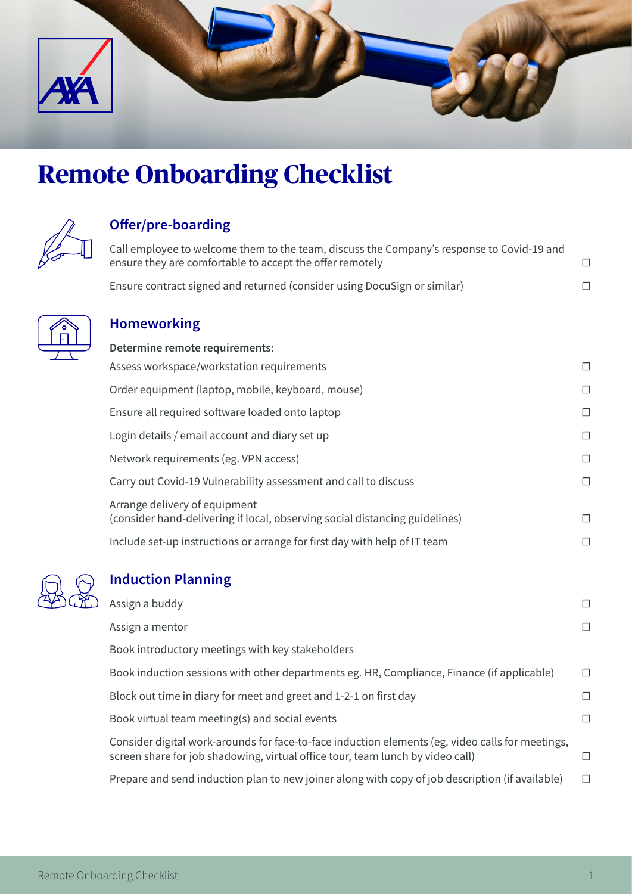

# **Remote Onboarding Checklist**



### **Offer/pre-boarding**

Call employee to welcome them to the team, discuss the Company's response to Covid-19 and ensure they are comfortable to accept the offer remotely  $\Box$ 

Ensure contract signed and returned (consider using DocuSign or similar) □



#### **Homeworking**

| Determine remote requirements:                                                                               |        |
|--------------------------------------------------------------------------------------------------------------|--------|
| Assess workspace/workstation requirements                                                                    | $\Box$ |
| Order equipment (laptop, mobile, keyboard, mouse)                                                            | $\Box$ |
| Ensure all required software loaded onto laptop                                                              | $\Box$ |
| Login details / email account and diary set up                                                               | $\Box$ |
| Network requirements (eg. VPN access)                                                                        | $\Box$ |
| Carry out Covid-19 Vulnerability assessment and call to discuss                                              | $\Box$ |
| Arrange delivery of equipment<br>(consider hand-delivering if local, observing social distancing guidelines) | П      |
| Include set-up instructions or arrange for first day with help of IT team                                    | П      |



## **Induction Planning**

| Assign a buddy                                                                                                                                                                     |         |
|------------------------------------------------------------------------------------------------------------------------------------------------------------------------------------|---------|
| Assign a mentor                                                                                                                                                                    |         |
| Book introductory meetings with key stakeholders                                                                                                                                   |         |
| Book induction sessions with other departments eg. HR, Compliance, Finance (if applicable)                                                                                         | П.      |
| Block out time in diary for meet and greet and 1-2-1 on first day                                                                                                                  | $\perp$ |
| Book virtual team meeting(s) and social events                                                                                                                                     | П       |
| Consider digital work-arounds for face-to-face induction elements (eg. video calls for meetings,<br>screen share for job shadowing, virtual office tour, team lunch by video call) | П.      |
| Prepare and send induction plan to new joiner along with copy of job description (if available)                                                                                    | П       |